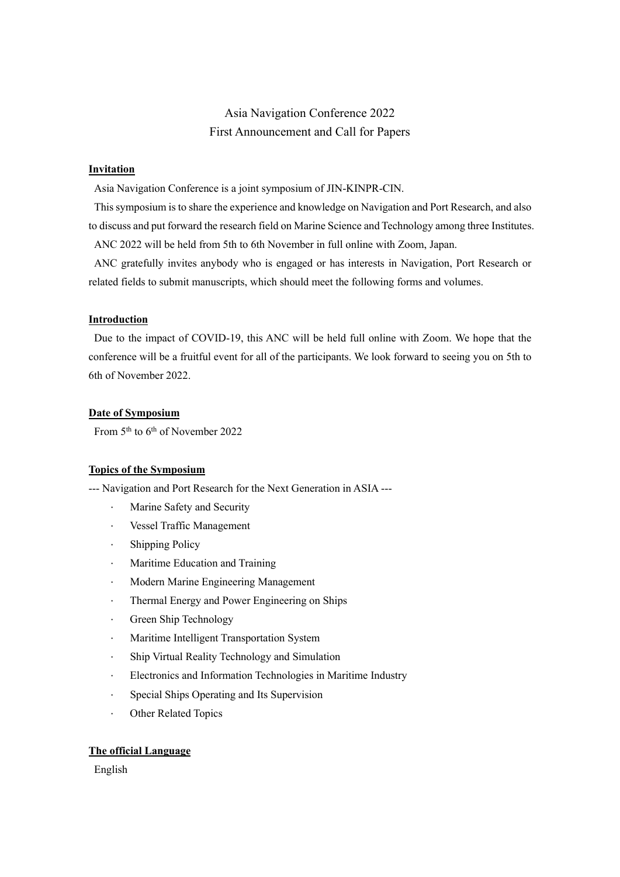# Asia Navigation Conference 2022 First Announcement and Call for Papers

## **Invitation**

Asia Navigation Conference is a joint symposium of JIN-KINPR-CIN.

This symposium is to share the experience and knowledge on Navigation and Port Research, and also to discuss and put forward the research field on Marine Science and Technology among three Institutes.

ANC 2022 will be held from 5th to 6th November in full online with Zoom, Japan.

ANC gratefully invites anybody who is engaged or has interests in Navigation, Port Research or related fields to submit manuscripts, which should meet the following forms and volumes.

#### **Introduction**

Due to the impact of COVID-19, this ANC will be held full online with Zoom. We hope that the conference will be a fruitful event for all of the participants. We look forward to seeing you on 5th to 6th of November 2022.

#### **Date of Symposium**

From 5<sup>th</sup> to 6<sup>th</sup> of November 2022

#### **Topics of the Symposium**

--- Navigation and Port Research for the Next Generation in ASIA ---

- Marine Safety and Security
- ⋅ Vessel Traffic Management
- ⋅ Shipping Policy
- ⋅ Maritime Education and Training
- ⋅ Modern Marine Engineering Management
- ⋅ Thermal Energy and Power Engineering on Ships
- ⋅ Green Ship Technology
- ⋅ Maritime Intelligent Transportation System
- ⋅ Ship Virtual Reality Technology and Simulation
- Electronics and Information Technologies in Maritime Industry
- ⋅ Special Ships Operating and Its Supervision
- Other Related Topics

## **The official Language**

English